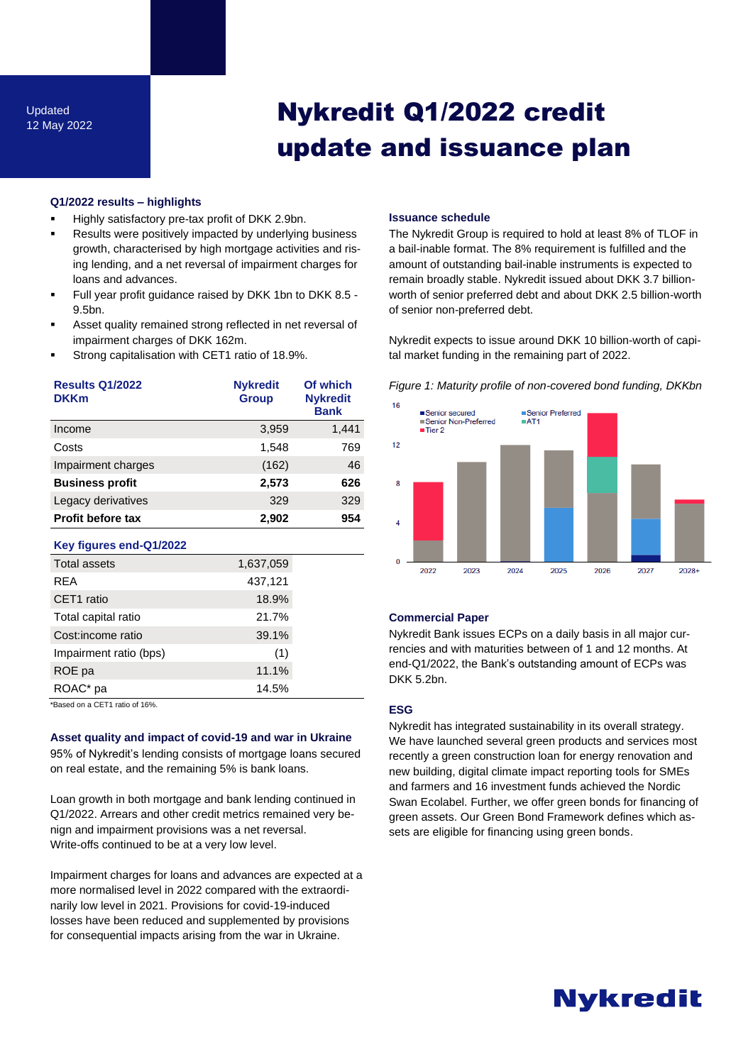# Nykredit Q1/2022 credit update and issuance plan

### **Q1/2022 results – highlights**

- Highly satisfactory pre-tax profit of DKK 2.9bn.
- Results were positively impacted by underlying business growth, characterised by high mortgage activities and rising lending, and a net reversal of impairment charges for loans and advances.
- Full year profit guidance raised by DKK 1bn to DKK 8.5 -9.5bn.
- Asset quality remained strong reflected in net reversal of impairment charges of DKK 162m.
- Strong capitalisation with CET1 ratio of 18.9%.

| <b>Results Q1/2022</b>         | <b>Nykredit</b> | Of which                       |
|--------------------------------|-----------------|--------------------------------|
| <b>DKKm</b>                    | <b>Group</b>    | <b>Nykredit</b><br><b>Bank</b> |
| Income                         | 3,959           | 1,441                          |
| Costs                          | 1,548           | 769                            |
| Impairment charges             | (162)           | 46                             |
| <b>Business profit</b>         | 2,573           | 626                            |
| Legacy derivatives             | 329             | 329                            |
| <b>Profit before tax</b>       | 2,902           | 954                            |
| Key figures end-Q1/2022        |                 |                                |
| <b>Total assets</b>            | 1,637,059       |                                |
| <b>RFA</b>                     | 437,121         |                                |
| CET1 ratio                     | 18.9%           |                                |
| Total capital ratio            | 21.7%           |                                |
| Cost:income ratio              | 39.1%           |                                |
| Impairment ratio (bps)         | (1)             |                                |
| ROE pa                         | 11.1%           |                                |
| ROAC <sup>*</sup> pa           | 14.5%           |                                |
| *Based on a CET1 ratio of 16%. |                 |                                |

**Asset quality and impact of covid-19 and war in Ukraine**

95% of Nykredit's lending consists of mortgage loans secured on real estate, and the remaining 5% is bank loans.

Loan growth in both mortgage and bank lending continued in Q1/2022. Arrears and other credit metrics remained very benign and impairment provisions was a net reversal. Write-offs continued to be at a very low level.

Impairment charges for loans and advances are expected at a more normalised level in 2022 compared with the extraordinarily low level in 2021. Provisions for covid-19-induced losses have been reduced and supplemented by provisions for consequential impacts arising from the war in Ukraine.

## **Issuance schedule**

The Nykredit Group is required to hold at least 8% of TLOF in a bail-inable format. The 8% requirement is fulfilled and the amount of outstanding bail-inable instruments is expected to remain broadly stable. Nykredit issued about DKK 3.7 billionworth of senior preferred debt and about DKK 2.5 billion-worth of senior non-preferred debt.

Nykredit expects to issue around DKK 10 billion-worth of capital market funding in the remaining part of 2022.



## *Figure 1: Maturity profile of non-covered bond funding, DKKbn*

# **Commercial Paper**

Nykredit Bank issues ECPs on a daily basis in all major currencies and with maturities between of 1 and 12 months. At end-Q1/2022, the Bank's outstanding amount of ECPs was DKK 5.2bn.

## **ESG**

Nykredit has integrated sustainability in its overall strategy. We have launched several green products and services most recently a green construction loan for energy renovation and new building, digital climate impact reporting tools for SMEs and farmers and 16 investment funds achieved the Nordic Swan Ecolabel. Further, we offer green bonds for financing of green assets. Our Green Bond Framework defines which assets are eligible for financing using green bonds.

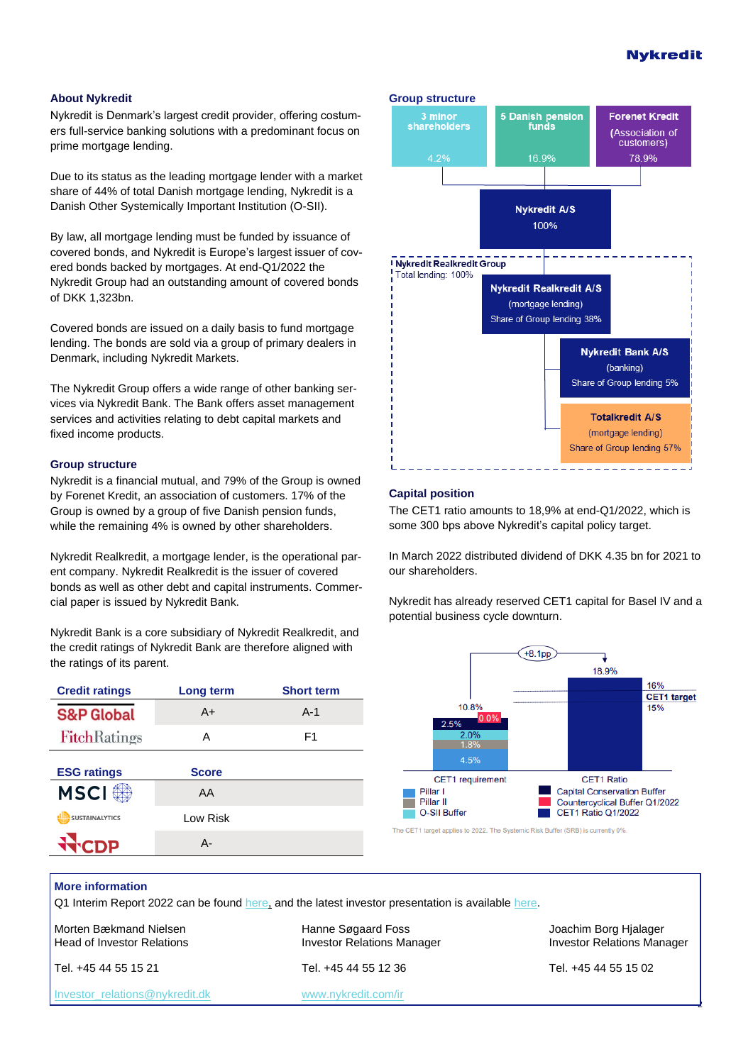# **Nvkredit**

#### **About Nykredit**

Nykredit is Denmark's largest credit provider, offering costumers full-service banking solutions with a predominant focus on prime mortgage lending.

Due to its status as the leading mortgage lender with a market share of 44% of total Danish mortgage lending, Nykredit is a Danish Other Systemically Important Institution (O-SII).

By law, all mortgage lending must be funded by issuance of covered bonds, and Nykredit is Europe's largest issuer of covered bonds backed by mortgages. At end-Q1/2022 the Nykredit Group had an outstanding amount of covered bonds of DKK 1,323bn.

Covered bonds are issued on a daily basis to fund mortgage lending. The bonds are sold via a group of primary dealers in Denmark, including Nykredit Markets.

The Nykredit Group offers a wide range of other banking services via Nykredit Bank. The Bank offers asset management services and activities relating to debt capital markets and fixed income products.

## **Group structure**

Nykredit is a financial mutual, and 79% of the Group is owned by Forenet Kredit, an association of customers. 17% of the Group is owned by a group of five Danish pension funds, while the remaining 4% is owned by other shareholders.

Nykredit Realkredit, a mortgage lender, is the operational parent company. Nykredit Realkredit is the issuer of covered bonds as well as other debt and capital instruments. Commercial paper is issued by Nykredit Bank.

Nykredit Bank is a core subsidiary of Nykredit Realkredit, and the credit ratings of Nykredit Bank are therefore aligned with the ratings of its parent.

| <b>Credit ratings</b> | Long term    | <b>Short term</b> |
|-----------------------|--------------|-------------------|
| <b>S&amp;P Global</b> | $A+$         | $A-1$             |
| <b>FitchRatings</b>   | А            | F1                |
| <b>ESG ratings</b>    | <b>Score</b> |                   |
| <b>MSCI</b>           | AA           |                   |
| <b>SUSTAINALYTICS</b> | Low Risk     |                   |
|                       | А-           |                   |



## **Capital position**

The CET1 ratio amounts to 18,9% at end-Q1/2022, which is some 300 bps above Nykredit's capital policy target.

In March 2022 distributed dividend of DKK 4.35 bn for 2021 to our shareholders.

Nykredit has already reserved CET1 capital for Basel IV and a potential business cycle downturn.



The CET1 target applies to 2022. The Systemic Risk Buffer (SRB) is currently 0%

# **More information**

Q1 Interim Report 2022 can be found [here,](https://www.nykredit.com/siteassets/ir/files/financial-reporting/financial-reports/nykredit/2022/nykredit_group_q1_22_2022-05-05_en.pdf) and the latest investor presentation is available [here.](https://www.nykredit.com/siteassets/ir/files/presentations/debt/debt-investor-presentation_may_2022.pdf)

Morten Bækmand Nielsen Nation Hanne Søgaard Foss Sammen Borg Hialager Halager

[Investor\\_relations@nykredit.dk](mailto:Investor_relations@nykredit.dk) [www.nykredit.com/ir](file:///C:/Users/mobn/AppData/Roaming/Microsoft/Word/www.nykredit.com/ir)

Tel. +45 44 55 15 21 Tel. +45 44 55 12 36 Tel. +45 44 55 15 02

Head of Investor Relations **Investor Relations Manager** Investor Relations Manager **Investor Relations Manager** 

2